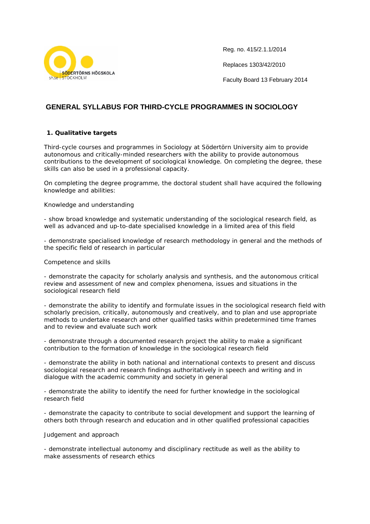

Reg. no. 415/2.1.1/2014

Replaces 1303/42/2010

Faculty Board 13 February 2014

# **GENERAL SYLLABUS FOR THIRD-CYCLE PROGRAMMES IN SOCIOLOGY**

# **1. Qualitative targets**

Third-cycle courses and programmes in Sociology at Södertörn University aim to provide autonomous and critically-minded researchers with the ability to provide autonomous contributions to the development of sociological knowledge. On completing the degree, these skills can also be used in a professional capacity.

On completing the degree programme, the doctoral student shall have acquired the following knowledge and abilities:

# *Knowledge and understanding*

- show broad knowledge and systematic understanding of the sociological research field, as well as advanced and up-to-date specialised knowledge in a limited area of this field

- demonstrate specialised knowledge of research methodology in general and the methods of the specific field of research in particular

# *Competence and skills*

- demonstrate the capacity for scholarly analysis and synthesis, and the autonomous critical review and assessment of new and complex phenomena, issues and situations in the sociological research field

- demonstrate the ability to identify and formulate issues in the sociological research field with scholarly precision, critically, autonomously and creatively, and to plan and use appropriate methods to undertake research and other qualified tasks within predetermined time frames and to review and evaluate such work

- demonstrate through a documented research project the ability to make a significant contribution to the formation of knowledge in the sociological research field

- demonstrate the ability in both national and international contexts to present and discuss sociological research and research findings authoritatively in speech and writing and in dialogue with the academic community and society in general

- demonstrate the ability to identify the need for further knowledge in the sociological research field

- demonstrate the capacity to contribute to social development and support the learning of others both through research and education and in other qualified professional capacities

# *Judgement and approach*

- demonstrate intellectual autonomy and disciplinary rectitude as well as the ability to make assessments of research ethics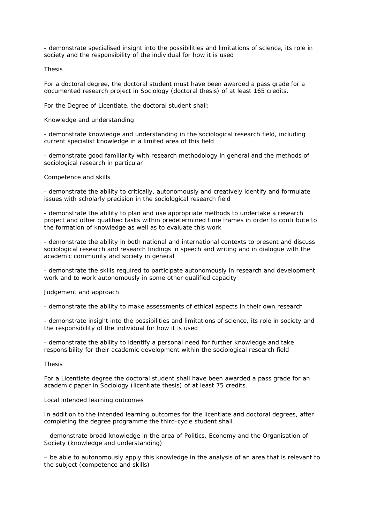- demonstrate specialised insight into the possibilities and limitations of science, its role in society and the responsibility of the individual for how it is used

#### Thesis

For a doctoral degree, the doctoral student must have been awarded a pass grade for a documented research project in Sociology (doctoral thesis) of at least 165 credits.

For the Degree of Licentiate, the doctoral student shall:

### *Knowledge and understanding*

- demonstrate knowledge and understanding in the sociological research field, including current specialist knowledge in a limited area of this field

- demonstrate good familiarity with research methodology in general and the methods of sociological research in particular

#### *Competence and skills*

- demonstrate the ability to critically, autonomously and creatively identify and formulate issues with scholarly precision in the sociological research field

- demonstrate the ability to plan and use appropriate methods to undertake a research project and other qualified tasks within predetermined time frames in order to contribute to the formation of knowledge as well as to evaluate this work

- demonstrate the ability in both national and international contexts to present and discuss sociological research and research findings in speech and writing and in dialogue with the academic community and society in general

- demonstrate the skills required to participate autonomously in research and development work and to work autonomously in some other qualified capacity

# *Judgement and approach*

- demonstrate the ability to make assessments of ethical aspects in their own research

- demonstrate insight into the possibilities and limitations of science, its role in society and the responsibility of the individual for how it is used

- demonstrate the ability to identify a personal need for further knowledge and take responsibility for their academic development within the sociological research field

### Thesis

For a Licentiate degree the doctoral student shall have been awarded a pass grade for an academic paper in Sociology (licentiate thesis) of at least 75 credits.

#### Local intended learning outcomes

In addition to the intended learning outcomes for the licentiate and doctoral degrees, after completing the degree programme the third-cycle student shall

– demonstrate broad knowledge in the area of Politics, Economy and the Organisation of Society (knowledge and understanding)

– be able to autonomously apply this knowledge in the analysis of an area that is relevant to the subject (competence and skills)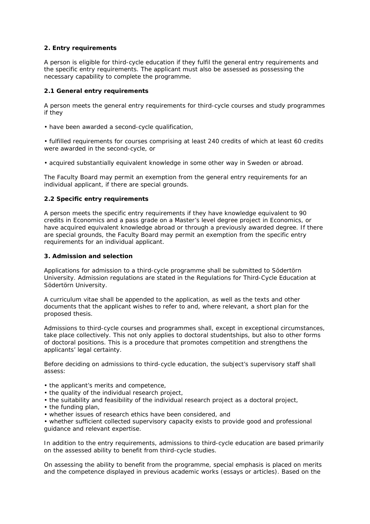# **2. Entry requirements**

A person is eligible for third-cycle education if they fulfil the general entry requirements and the specific entry requirements. The applicant must also be assessed as possessing the necessary capability to complete the programme.

# *2.1 General entry requirements*

A person meets the general entry requirements for third-cycle courses and study programmes if they

• have been awarded a second-cycle qualification,

• fulfilled requirements for courses comprising at least 240 credits of which at least 60 credits were awarded in the second-cycle, or

• acquired substantially equivalent knowledge in some other way in Sweden or abroad.

The Faculty Board may permit an exemption from the general entry requirements for an individual applicant, if there are special grounds.

# *2.2 Specific entry requirements*

A person meets the specific entry requirements if they have knowledge equivalent to 90 credits in Economics and a pass grade on a Master's level degree project in Economics, or have acquired equivalent knowledge abroad or through a previously awarded degree. If there are special grounds, the Faculty Board may permit an exemption from the specific entry requirements for an individual applicant.

# **3. Admission and selection**

Applications for admission to a third-cycle programme shall be submitted to Södertörn University. Admission regulations are stated in the Regulations for Third-Cycle Education at Södertörn University.

A curriculum vitae shall be appended to the application, as well as the texts and other documents that the applicant wishes to refer to and, where relevant, a short plan for the proposed thesis.

Admissions to third-cycle courses and programmes shall, except in exceptional circumstances, take place collectively. This not only applies to doctoral studentships, but also to other forms of doctoral positions. This is a procedure that promotes competition and strengthens the applicants' legal certainty.

Before deciding on admissions to third-cycle education, the subject's supervisory staff shall assess:

- the applicant's merits and competence,
- the quality of the individual research project,
- the suitability and feasibility of the individual research project as a doctoral project,
- the funding plan,
- whether issues of research ethics have been considered, and

• whether sufficient collected supervisory capacity exists to provide good and professional guidance and relevant expertise.

In addition to the entry requirements, admissions to third-cycle education are based primarily on the assessed ability to benefit from third-cycle studies.

On assessing the ability to benefit from the programme, special emphasis is placed on merits and the competence displayed in previous academic works (essays or articles). Based on the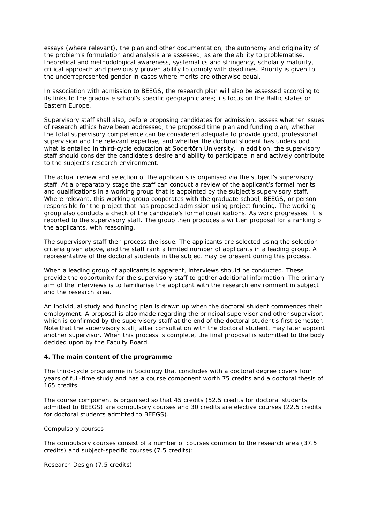essays (where relevant), the plan and other documentation, the autonomy and originality of the problem's formulation and analysis are assessed, as are the ability to problematise, theoretical and methodological awareness, systematics and stringency, scholarly maturity, critical approach and previously proven ability to comply with deadlines. Priority is given to the underrepresented gender in cases where merits are otherwise equal.

In association with admission to BEEGS, the research plan will also be assessed according to its links to the graduate school's specific geographic area; its focus on the Baltic states or Eastern Europe.

Supervisory staff shall also, before proposing candidates for admission, assess whether issues of research ethics have been addressed, the proposed time plan and funding plan, whether the total supervisory competence can be considered adequate to provide good, professional supervision and the relevant expertise, and whether the doctoral student has understood what is entailed in third-cycle education at Södertörn University. In addition, the supervisory staff should consider the candidate's desire and ability to participate in and actively contribute to the subject's research environment.

The actual review and selection of the applicants is organised via the subject's supervisory staff. At a preparatory stage the staff can conduct a review of the applicant's formal merits and qualifications in a working group that is appointed by the subject's supervisory staff. Where relevant, this working group cooperates with the graduate school, BEEGS, or person responsible for the project that has proposed admission using project funding. The working group also conducts a check of the candidate's formal qualifications. As work progresses, it is reported to the supervisory staff. The group then produces a written proposal for a ranking of the applicants, with reasoning.

The supervisory staff then process the issue. The applicants are selected using the selection criteria given above, and the staff rank a limited number of applicants in a leading group. A representative of the doctoral students in the subject may be present during this process.

When a leading group of applicants is apparent, interviews should be conducted. These provide the opportunity for the supervisory staff to gather additional information. The primary aim of the interviews is to familiarise the applicant with the research environment in subject and the research area.

An individual study and funding plan is drawn up when the doctoral student commences their employment. A proposal is also made regarding the principal supervisor and other supervisor, which is confirmed by the supervisory staff at the end of the doctoral student's first semester. Note that the supervisory staff, after consultation with the doctoral student, may later appoint another supervisor. When this process is complete, the final proposal is submitted to the body decided upon by the Faculty Board.

# **4. The main content of the programme**

The third-cycle programme in Sociology that concludes with a doctoral degree covers four years of full-time study and has a course component worth 75 credits and a doctoral thesis of 165 credits.

The course component is organised so that 45 credits (52.5 credits for doctoral students admitted to BEEGS) are compulsory courses and 30 credits are elective courses (22.5 credits for doctoral students admitted to BEEGS).

# *Compulsory courses*

The compulsory courses consist of a number of courses common to the research area (37.5 credits) and subject-specific courses (7.5 credits):

Research Design (7.5 credits)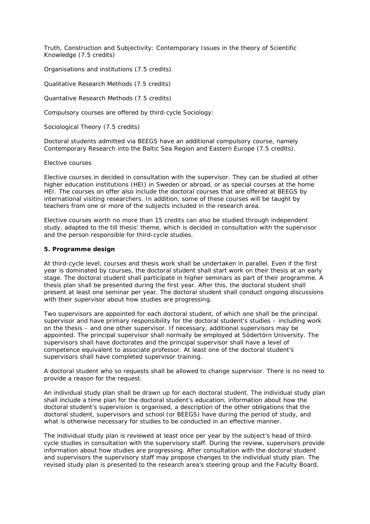Truth, Construction and Subjectivity: Contemporary Issues in the theory of Scientific Knowledge (7.5 credits)

Organisations and institutions (7.5 credits)

Qualitative Research Methods (7.5 credits)

Quantative Research Methods (7.5 credits)

Compulsory courses are offered by third-cycle Sociology:

Sociological Theory (7.5 credits)

Doctoral students admitted via BEEGS have an additional compulsory course, namely Contemporary Research into the Baltic Sea Region and Eastern Europe (7.5 credits).

### *Elective courses*

Elective courses in decided in consultation with the supervisor. They can be studied at other higher education institutions (HEI) in Sweden or abroad, or as special courses at the home HEI. The courses on offer also include the doctoral courses that are offered at BEEGS by international visiting researchers. In addition, some of these courses will be taught by teachers from one or more of the subjects included in the research area.

Elective courses worth no more than 15 credits can also be studied through independent study, adapted to the till thesis' theme, which is decided in consultation with the supervisor and the person responsible for third-cycle studies.

# **5. Programme design**

At third-cycle level, courses and thesis work shall be undertaken in parallel. Even if the first year is dominated by courses, the doctoral student shall start work on their thesis at an early stage. The doctoral student shall participate in higher seminars as part of their programme. A thesis plan shall be presented during the first year. After this, the doctoral student shall present at least one seminar per year. The doctoral student shall conduct ongoing discussions with their supervisor about how studies are progressing.

Two supervisors are appointed for each doctoral student, of which one shall be the principal supervisor and have primary responsibility for the doctoral student's studies – including work on the thesis – and one other supervisor. If necessary, additional supervisors may be appointed. The principal supervisor shall normally be employed at Södertörn University. The supervisors shall have doctorates and the principal supervisor shall have a level of competence equivalent to associate professor. At least one of the doctoral student's supervisors shall have completed supervisor training.

A doctoral student who so requests shall be allowed to change supervisor. There is no need to provide a reason for the request.

An individual study plan shall be drawn up for each doctoral student. The individual study plan shall include a time plan for the doctoral student's education, information about how the doctoral student's supervision is organised, a description of the other obligations that the doctoral student, supervisors and school (or BEEGS) have during the period of study, and what is otherwise necessary for studies to be conducted in an effective manner.

The individual study plan is reviewed at least once per year by the subject's head of thirdcycle studies in consultation with the supervisory staff. During the review, supervisors provide information about how studies are progressing. After consultation with the doctoral student and supervisors the supervisory staff may propose changes to the individual study plan. The revised study plan is presented to the research area's steering group and the Faculty Board.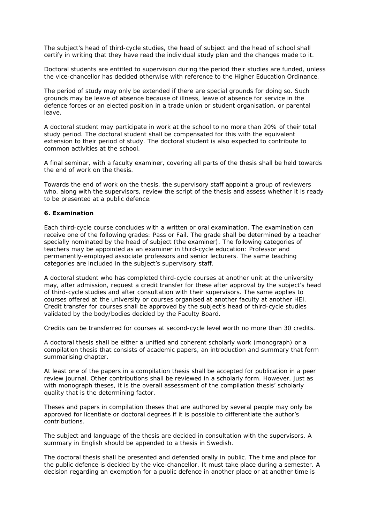The subject's head of third-cycle studies, the head of subject and the head of school shall certify in writing that they have read the individual study plan and the changes made to it.

Doctoral students are entitled to supervision during the period their studies are funded, unless the vice-chancellor has decided otherwise with reference to the Higher Education Ordinance.

The period of study may only be extended if there are special grounds for doing so. Such grounds may be leave of absence because of illness, leave of absence for service in the defence forces or an elected position in a trade union or student organisation, or parental leave.

A doctoral student may participate in work at the school to no more than 20% of their total study period. The doctoral student shall be compensated for this with the equivalent extension to their period of study. The doctoral student is also expected to contribute to common activities at the school.

A final seminar, with a faculty examiner, covering all parts of the thesis shall be held towards the end of work on the thesis.

Towards the end of work on the thesis, the supervisory staff appoint a group of reviewers who, along with the supervisors, review the script of the thesis and assess whether it is ready to be presented at a public defence.

### **6. Examination**

Each third-cycle course concludes with a written or oral examination. The examination can receive one of the following grades: Pass or Fail. The grade shall be determined by a teacher specially nominated by the head of subject (the examiner). The following categories of teachers may be appointed as an examiner in third-cycle education: Professor and permanently-employed associate professors and senior lecturers. The same teaching categories are included in the subject's supervisory staff.

A doctoral student who has completed third-cycle courses at another unit at the university may, after admission, request a credit transfer for these after approval by the subject's head of third-cycle studies and after consultation with their supervisors. The same applies to courses offered at the university or courses organised at another faculty at another HEI. Credit transfer for courses shall be approved by the subject's head of third-cycle studies validated by the body/bodies decided by the Faculty Board.

Credits can be transferred for courses at second-cycle level worth no more than 30 credits.

A doctoral thesis shall be either a unified and coherent scholarly work (monograph) or a compilation thesis that consists of academic papers, an introduction and summary that form summarising chapter.

At least one of the papers in a compilation thesis shall be accepted for publication in a peer review journal. Other contributions shall be reviewed in a scholarly form. However, just as with monograph theses, it is the overall assessment of the compilation thesis' scholarly quality that is the determining factor.

Theses and papers in compilation theses that are authored by several people may only be approved for licentiate or doctoral degrees if it is possible to differentiate the author's contributions.

The subject and language of the thesis are decided in consultation with the supervisors. A summary in English should be appended to a thesis in Swedish.

The doctoral thesis shall be presented and defended orally in public. The time and place for the public defence is decided by the vice-chancellor. It must take place during a semester. A decision regarding an exemption for a public defence in another place or at another time is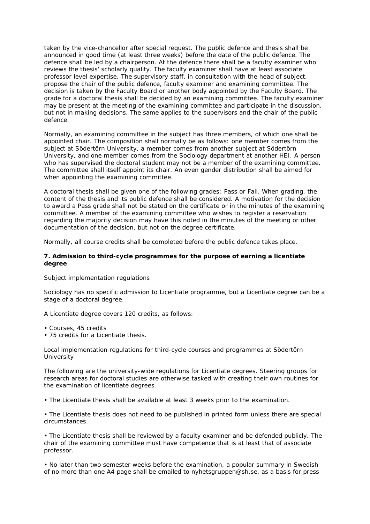taken by the vice-chancellor after special request. The public defence and thesis shall be announced in good time (at least three weeks) before the date of the public defence. The defence shall be led by a chairperson. At the defence there shall be a faculty examiner who reviews the thesis' scholarly quality. The faculty examiner shall have at least associate professor level expertise. The supervisory staff, in consultation with the head of subject, propose the chair of the public defence, faculty examiner and examining committee. The decision is taken by the Faculty Board or another body appointed by the Faculty Board. The grade for a doctoral thesis shall be decided by an examining committee. The faculty examiner may be present at the meeting of the examining committee and participate in the discussion, but not in making decisions. The same applies to the supervisors and the chair of the public defence.

Normally, an examining committee in the subject has three members, of which one shall be appointed chair. The composition shall normally be as follows: one member comes from the subject at Södertörn University, a member comes from another subject at Södertörn University, and one member comes from the Sociology department at another HEI. A person who has supervised the doctoral student may not be a member of the examining committee. The committee shall itself appoint its chair. An even gender distribution shall be aimed for when appointing the examining committee.

A doctoral thesis shall be given one of the following grades: Pass or Fail. When grading, the content of the thesis and its public defence shall be considered. A motivation for the decision to award a Pass grade shall not be stated on the certificate or in the minutes of the examining committee. A member of the examining committee who wishes to register a reservation regarding the majority decision may have this noted in the minutes of the meeting or other documentation of the decision, but not on the degree certificate.

Normally, all course credits shall be completed before the public defence takes place.

# **7. Admission to third-cycle programmes for the purpose of earning a licentiate degree**

# *Subject implementation regulations*

Sociology has no specific admission to Licentiate programme, but a Licentiate degree can be a stage of a doctoral degree.

A Licentiate degree covers 120 credits, as follows:

- Courses, 45 credits
- 75 credits for a Licentiate thesis.

#### *Local implementation regulations for third-cycle courses and programmes at Södertörn University*

The following are the university-wide regulations for Licentiate degrees. Steering groups for research areas for doctoral studies are otherwise tasked with creating their own routines for the examination of licentiate degrees.

• The Licentiate thesis shall be available at least 3 weeks prior to the examination.

• The Licentiate thesis does not need to be published in printed form unless there are special circumstances.

• The Licentiate thesis shall be reviewed by a faculty examiner and be defended publicly. The chair of the examining committee must have competence that is at least that of associate professor.

• No later than two semester weeks before the examination, a popular summary in Swedish of no more than one A4 page shall be emailed to nyhetsgruppen@sh.se, as a basis for press